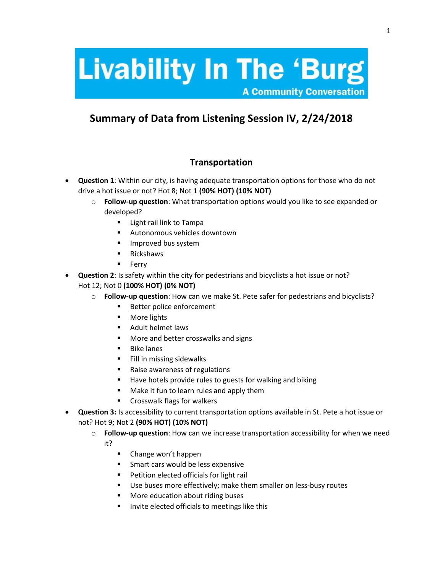# **Livability In The 'Burg'**

**A Community Conversation** 

# **Summary of Data from Listening Session IV, 2/24/2018**

#### **Transportation**

- **Question 1**: Within our city, is having adequate transportation options for those who do not drive a hot issue or not? Hot 8; Not 1 **(90% HOT) (10% NOT)**
	- o **Follow-up question**: What transportation options would you like to see expanded or developed?
		- **Light rail link to Tampa**
		- Autonomous vehicles downtown
		- **Improved bus system**
		- **E** Rickshaws
		- **Ferry**
- **Question 2**: Is safety within the city for pedestrians and bicyclists a hot issue or not? Hot 12; Not 0 **(100% HOT) (0% NOT)**
	- o **Follow-up question**: How can we make St. Pete safer for pedestrians and bicyclists?
		- **Better police enforcement**
		- **More lights**
		- **Adult helmet laws**
		- **More and better crosswalks and signs**
		- $\blacksquare$  Bike lanes
		- Fill in missing sidewalks
		- Raise awareness of regulations
		- Have hotels provide rules to guests for walking and biking
		- **Make it fun to learn rules and apply them**
		- **EXPLO** Crosswalk flags for walkers
- **Question 3:** Is accessibility to current transportation options available in St. Pete a hot issue or not? Hot 9; Not 2 **(90% HOT) (10% NOT)**
	- o **Follow-up question**: How can we increase transportation accessibility for when we need it?
		- **E** Change won't happen
		- **Smart cars would be less expensive**
		- **Petition elected officials for light rail**
		- Use buses more effectively; make them smaller on less-busy routes
		- **More education about riding buses**
		- Invite elected officials to meetings like this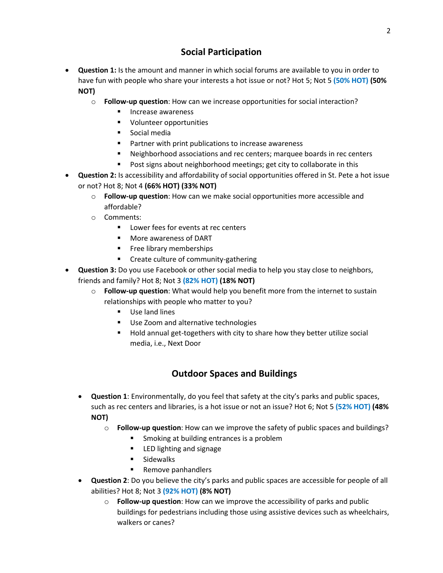## **Social Participation**

- **Question 1:** Is the amount and manner in which social forums are available to you in order to have fun with people who share your interests a hot issue or not? Hot 5; Not 5 **(50% HOT) (50% NOT)**
	- o **Follow-up question**: How can we increase opportunities for social interaction?
		- **Increase awareness**
		- **Volunteer opportunities**
		- **Social media**
		- **Partner with print publications to increase awareness**
		- Neighborhood associations and rec centers; marquee boards in rec centers
		- Post signs about neighborhood meetings; get city to collaborate in this
- **Question 2:** Is accessibility and affordability of social opportunities offered in St. Pete a hot issue or not? Hot 8; Not 4 **(66% HOT) (33% NOT)**
	- o **Follow-up question**: How can we make social opportunities more accessible and affordable?
	- o Comments:
		- **Lower fees for events at rec centers**
		- **Nore awareness of DART**
		- **Filter** Free library memberships
		- **EXECT:** Create culture of community-gathering
- **Question 3:** Do you use Facebook or other social media to help you stay close to neighbors, friends and family? Hot 8; Not 3 **(82% HOT) (18% NOT)**
	- o **Follow-up question**: What would help you benefit more from the internet to sustain relationships with people who matter to you?
		- **Use land lines**
		- Use Zoom and alternative technologies
		- Hold annual get-togethers with city to share how they better utilize social media, i.e., Next Door

# **Outdoor Spaces and Buildings**

- **Question 1**: Environmentally, do you feel that safety at the city's parks and public spaces, such as rec centers and libraries, is a hot issue or not an issue? Hot 6; Not 5 **(52% HOT) (48% NOT)**
	- o **Follow-up question**: How can we improve the safety of public spaces and buildings?
		- **Smoking at building entrances is a problem**
		- **EXECUTE LED lighting and signage**
		- **Sidewalks**
		- Remove panhandlers
- **Question 2**: Do you believe the city's parks and public spaces are accessible for people of all abilities? Hot 8; Not 3 **(92% HOT) (8% NOT)**
	- o **Follow-up question**: How can we improve the accessibility of parks and public buildings for pedestrians including those using assistive devices such as wheelchairs, walkers or canes?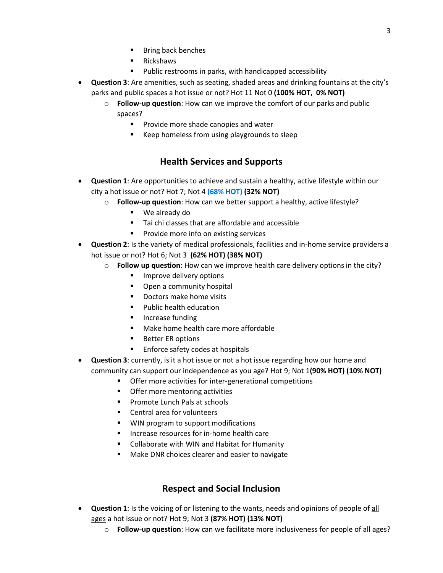- Bring back benches
- Rickshaws
- Public restrooms in parks, with handicapped accessibility
- **Question 3**: Are amenities, such as seating, shaded areas and drinking fountains at the city's parks and public spaces a hot issue or not? Hot 11 Not 0 **(100% HOT, 0% NOT)**
	- o **Follow-up question**: How can we improve the comfort of our parks and public spaces?
		- **Provide more shade canopies and water**
		- **Keep homeless from using playgrounds to sleep**

## **Health Services and Supports**

- **Question 1**: Are opportunities to achieve and sustain a healthy, active lifestyle within our city a hot issue or not? Hot 7; Not 4 **(68% HOT) (32% NOT)**
	- o **Follow-up question**: How can we better support a healthy, active lifestyle?
		- We already do
		- Tai chi classes that are affordable and accessible
		- **Provide more info on existing services**
- **Question 2**: Is the variety of medical professionals, facilities and in-home service providers a hot issue or not? Hot 6; Not 3 **(62% HOT) (38% NOT)**
	- o **Follow up question**: How can we improve health care delivery options in the city?
		- **IMPROVE delivery options**
		- **•** Open a community hospital
		- Doctors make home visits
		- **Public health education**
		- **Increase funding**
		- **Make home health care more affordable**
		- Better ER options
		- **Enforce safety codes at hospitals**
- **Question 3**: currently, is it a hot issue or not a hot issue regarding how our home and community can support our independence as you age? Hot 9; Not 1**(90% HOT) (10% NOT)**
	- Offer more activities for inter-generational competitions
	- Offer more mentoring activities
	- **Promote Lunch Pals at schools**
	- Central area for volunteers
	- WIN program to support modifications
	- **Increase resources for in-home health care**
	- Collaborate with WIN and Habitat for Humanity
	- Make DNR choices clearer and easier to navigate

#### **Respect and Social Inclusion**

- **Question 1**: Is the voicing of or listening to the wants, needs and opinions of people of all ages a hot issue or not? Hot 9; Not 3 **(87% HOT) (13% NOT)**
	- o **Follow-up question**: How can we facilitate more inclusiveness for people of all ages?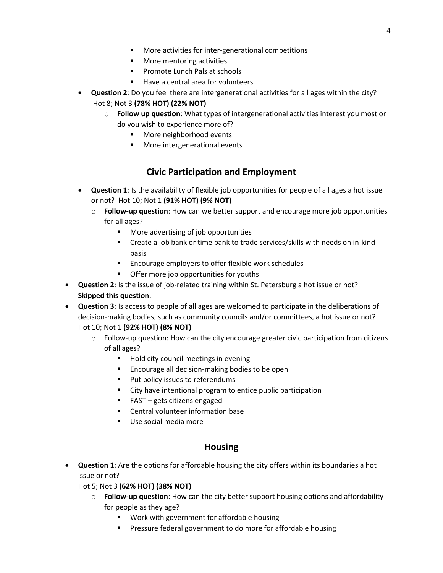- More activities for inter-generational competitions
- **Nore mentoring activities**
- **Promote Lunch Pals at schools**
- Have a central area for volunteers
- **Question 2**: Do you feel there are intergenerational activities for all ages within the city? Hot 8; Not 3 **(78% HOT) (22% NOT)**
	- o **Follow up question**: What types of intergenerational activities interest you most or do you wish to experience more of?
		- More neighborhood events
		- **More intergenerational events**

#### **Civic Participation and Employment**

- **Question 1**: Is the availability of flexible job opportunities for people of all ages a hot issue or not? Hot 10; Not 1 **(91% HOT) (9% NOT)**
	- o **Follow-up question**: How can we better support and encourage more job opportunities for all ages?
		- More advertising of job opportunities
		- Create a job bank or time bank to trade services/skills with needs on in-kind basis
		- Encourage employers to offer flexible work schedules
		- **•** Offer more job opportunities for youths
- **Question 2**: Is the issue of job-related training within St. Petersburg a hot issue or not? **Skipped this question**.
- **Question 3**: Is access to people of all ages are welcomed to participate in the deliberations of decision-making bodies, such as community councils and/or committees, a hot issue or not? Hot 10; Not 1 **(92% HOT) (8% NOT)**
	- $\circ$  Follow-up question: How can the city encourage greater civic participation from citizens of all ages?
		- Hold city council meetings in evening
		- Encourage all decision-making bodies to be open
		- **Put policy issues to referendums**
		- City have intentional program to entice public participation
		- $\blacksquare$  FAST gets citizens engaged
		- Central volunteer information base
		- Use social media more

#### **Housing**

- **Question 1**: Are the options for affordable housing the city offers within its boundaries a hot issue or not?
	- Hot 5; Not 3 **(62% HOT) (38% NOT)**
		- o **Follow-up question**: How can the city better support housing options and affordability for people as they age?
			- **Work with government for affordable housing**
			- **Pressure federal government to do more for affordable housing**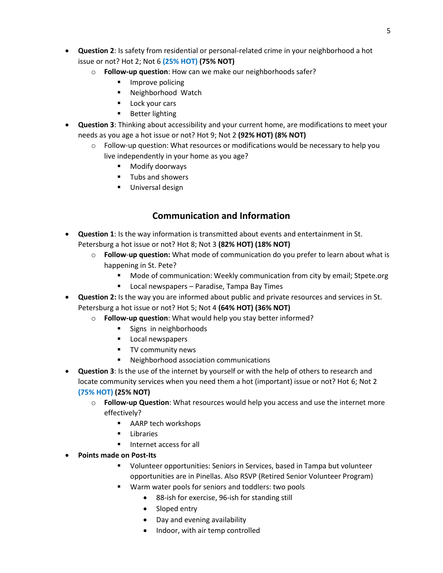- **Question 2**: Is safety from residential or personal-related crime in your neighborhood a hot issue or not? Hot 2; Not 6 **(25% HOT) (75% NOT)**
	- o **Follow-up question**: How can we make our neighborhoods safer?
		- Improve policing
		- Neighborhood Watch
		- **Lock your cars**
		- **Better lighting**
- **Question 3**: Thinking about accessibility and your current home, are modifications to meet your needs as you age a hot issue or not? Hot 9; Not 2 **(92% HOT) (8% NOT)**
	- $\circ$  Follow-up question: What resources or modifications would be necessary to help you live independently in your home as you age?
		- Modify doorways
		- **Tubs and showers**
		- **Universal design**

#### **Communication and Information**

- **Question 1**: Is the way information is transmitted about events and entertainment in St. Petersburg a hot issue or not? Hot 8; Not 3 **(82% HOT) (18% NOT)**
	- o **Follow**-**up question:** What mode of communication do you prefer to learn about what is happening in St. Pete?
		- **Mode of communication: Weekly communication from city by email; Stpete.org**
		- **EXTER** Local newspapers Paradise, Tampa Bay Times
- **Question 2:** Is the way you are informed about public and private resources and services in St. Petersburg a hot issue or not? Hot 5; Not 4 **(64% HOT) (36% NOT)**
	- o **Follow-up question**: What would help you stay better informed?
		- **Signs in neighborhoods**
		- **Local newspapers**
		- **TV community news**
		- Neighborhood association communications
- **Question 3**: Is the use of the internet by yourself or with the help of others to research and locate community services when you need them a hot (important) issue or not? Hot 6; Not 2 **(75% HOT) (25% NOT)**
	- o **Follow-up Question**: What resources would help you access and use the internet more effectively?
		- AARP tech workshops
		- **Libraries**
		- **Internet access for all**
- **Points made on Post-Its**
	- Volunteer opportunities: Seniors in Services, based in Tampa but volunteer opportunities are in Pinellas. Also RSVP (Retired Senior Volunteer Program)
	- Warm water pools for seniors and toddlers: two pools
		- 88-ish for exercise, 96-ish for standing still
		- Sloped entry
		- Day and evening availability
		- Indoor, with air temp controlled